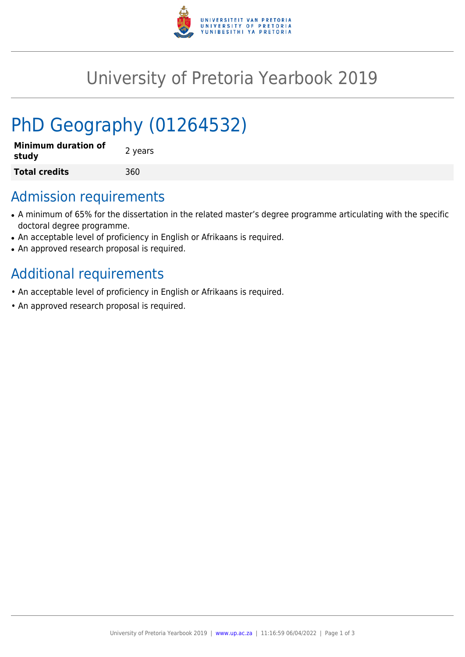

## University of Pretoria Yearbook 2019

# PhD Geography (01264532)

| <b>Minimum duration of</b><br>study | 2 years |
|-------------------------------------|---------|
| <b>Total credits</b>                | 360     |

#### Admission requirements

- A minimum of 65% for the dissertation in the related master's degree programme articulating with the specific doctoral degree programme.
- An acceptable level of proficiency in English or Afrikaans is required.
- An approved research proposal is required.

## Additional requirements

- An acceptable level of proficiency in English or Afrikaans is required.
- An approved research proposal is required.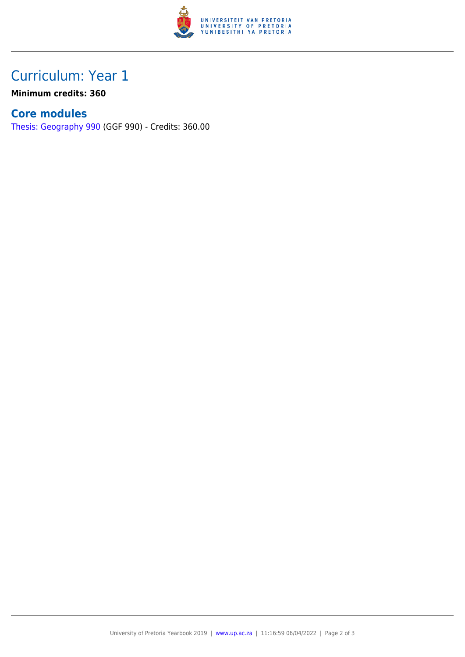

### Curriculum: Year 1

**Minimum credits: 360**

#### **Core modules**

[Thesis: Geography 990](https://www.up.ac.za/yearbooks/2019/modules/view/GGF 990) (GGF 990) - Credits: 360.00